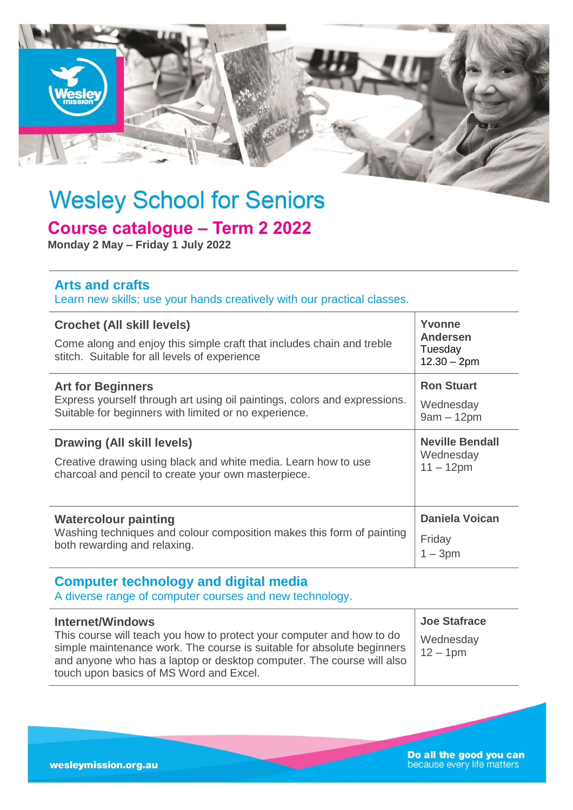

# **Wesley School for Seniors**

# **Course catalogue – Term 2 2022**

**Monday 2 May – Friday 1 July 2022**

### **Arts and crafts**

Learn new skills; use your hands creatively with our practical classes.

| <b>Crochet (All skill levels)</b><br>Come along and enjoy this simple craft that includes chain and treble<br>stitch. Suitable for all levels of experience | Yvonne<br><b>Andersen</b><br>Tuesday<br>$12.30 - 2pm$ |
|-------------------------------------------------------------------------------------------------------------------------------------------------------------|-------------------------------------------------------|
| <b>Art for Beginners</b>                                                                                                                                    | <b>Ron Stuart</b>                                     |
| Express yourself through art using oil paintings, colors and expressions.                                                                                   | Wednesday                                             |
| Suitable for beginners with limited or no experience.                                                                                                       | $9am - 12pm$                                          |
| Drawing (All skill levels)                                                                                                                                  | <b>Neville Bendall</b>                                |
| Creative drawing using black and white media. Learn how to use                                                                                              | Wednesday                                             |
| charcoal and pencil to create your own masterpiece.                                                                                                         | $11 - 12$ pm                                          |
| <b>Watercolour painting</b>                                                                                                                                 | <b>Daniela Voican</b>                                 |
| Washing techniques and colour composition makes this form of painting                                                                                       | Friday                                                |
| both rewarding and relaxing.                                                                                                                                | $-3pm$                                                |

## **Computer technology and digital media**

A diverse range of computer courses and new technology.

| <b>Internet/Windows</b>                                                                                                                                                                                                                                             | <b>Joe Stafrace</b>     |
|---------------------------------------------------------------------------------------------------------------------------------------------------------------------------------------------------------------------------------------------------------------------|-------------------------|
| This course will teach you how to protect your computer and how to do<br>simple maintenance work. The course is suitable for absolute beginners<br>and anyone who has a laptop or desktop computer. The course will also<br>touch upon basics of MS Word and Excel. | Wednesday<br>$12 - 1pm$ |

**Do all the good you can**<br>because every life matters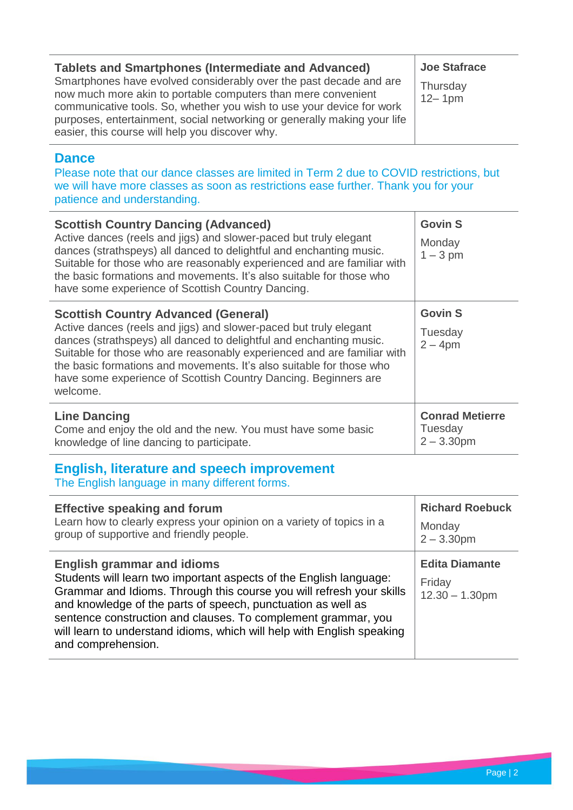| <b>Tablets and Smartphones (Intermediate and Advanced)</b><br>Smartphones have evolved considerably over the past decade and are<br>now much more akin to portable computers than mere convenient<br>communicative tools. So, whether you wish to use your device for work<br>purposes, entertainment, social networking or generally making your life | <b>Joe Stafrace</b><br>Thursday<br>$12 - 1pm$ |
|--------------------------------------------------------------------------------------------------------------------------------------------------------------------------------------------------------------------------------------------------------------------------------------------------------------------------------------------------------|-----------------------------------------------|
| easier, this course will help you discover why.                                                                                                                                                                                                                                                                                                        |                                               |

#### **Dance**

Please note that our dance classes are limited in Term 2 due to COVID restrictions, but we will have more classes as soon as restrictions ease further. Thank you for your patience and understanding.

| <b>Scottish Country Dancing (Advanced)</b><br>Active dances (reels and jigs) and slower-paced but truly elegant<br>dances (strathspeys) all danced to delightful and enchanting music.<br>Suitable for those who are reasonably experienced and are familiar with<br>the basic formations and movements. It's also suitable for those who<br>have some experience of Scottish Country Dancing.                           | <b>Govin S</b><br>Monday<br>$1 - 3$ pm             |
|--------------------------------------------------------------------------------------------------------------------------------------------------------------------------------------------------------------------------------------------------------------------------------------------------------------------------------------------------------------------------------------------------------------------------|----------------------------------------------------|
| <b>Scottish Country Advanced (General)</b><br>Active dances (reels and jigs) and slower-paced but truly elegant<br>dances (strathspeys) all danced to delightful and enchanting music.<br>Suitable for those who are reasonably experienced and are familiar with<br>the basic formations and movements. It's also suitable for those who<br>have some experience of Scottish Country Dancing. Beginners are<br>welcome. | <b>Govin S</b><br>Tuesday<br>$2 - 4$ pm            |
| <b>Line Dancing</b><br>Come and enjoy the old and the new. You must have some basic<br>knowledge of line dancing to participate.                                                                                                                                                                                                                                                                                         | <b>Conrad Metierre</b><br>Tuesday<br>$2 - 3.30$ pm |

# **English, literature and speech improvement**

The English language in many different forms.

| <b>Effective speaking and forum</b>                                                                                                                                                                                                                                                                                                                                                                              | <b>Richard Roebuck</b>                               |
|------------------------------------------------------------------------------------------------------------------------------------------------------------------------------------------------------------------------------------------------------------------------------------------------------------------------------------------------------------------------------------------------------------------|------------------------------------------------------|
| Learn how to clearly express your opinion on a variety of topics in a                                                                                                                                                                                                                                                                                                                                            | Monday                                               |
| group of supportive and friendly people.                                                                                                                                                                                                                                                                                                                                                                         | $2 - 3.30$ pm                                        |
| <b>English grammar and idioms</b><br>Students will learn two important aspects of the English language:<br>Grammar and Idioms. Through this course you will refresh your skills<br>and knowledge of the parts of speech, punctuation as well as<br>sentence construction and clauses. To complement grammar, you<br>will learn to understand idioms, which will help with English speaking<br>and comprehension. | <b>Edita Diamante</b><br>Friday<br>$12.30 - 1.30$ pm |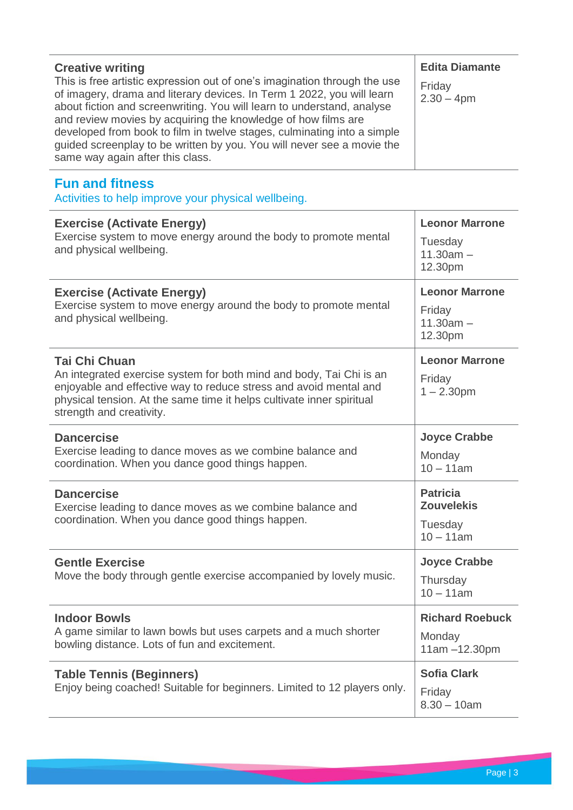| <b>Creative writing</b><br>This is free artistic expression out of one's imagination through the use<br>of imagery, drama and literary devices. In Term 1 2022, you will learn<br>about fiction and screenwriting. You will learn to understand, analyse<br>and review movies by acquiring the knowledge of how films are<br>developed from book to film in twelve stages, culminating into a simple<br>guided screenplay to be written by you. You will never see a movie the<br>same way again after this class. | <b>Edita Diamante</b><br>Friday<br>$2.30 - 4pm$                 |
|--------------------------------------------------------------------------------------------------------------------------------------------------------------------------------------------------------------------------------------------------------------------------------------------------------------------------------------------------------------------------------------------------------------------------------------------------------------------------------------------------------------------|-----------------------------------------------------------------|
| <b>Fun and fitness</b><br>Activities to help improve your physical wellbeing.                                                                                                                                                                                                                                                                                                                                                                                                                                      |                                                                 |
| <b>Exercise (Activate Energy)</b><br>Exercise system to move energy around the body to promote mental<br>and physical wellbeing.                                                                                                                                                                                                                                                                                                                                                                                   | <b>Leonor Marrone</b><br>Tuesday<br>$11.30am -$<br>12.30pm      |
| <b>Exercise (Activate Energy)</b><br>Exercise system to move energy around the body to promote mental<br>and physical wellbeing.                                                                                                                                                                                                                                                                                                                                                                                   | <b>Leonor Marrone</b><br>Friday<br>$11.30am -$<br>12.30pm       |
| <b>Tai Chi Chuan</b><br>An integrated exercise system for both mind and body, Tai Chi is an<br>enjoyable and effective way to reduce stress and avoid mental and<br>physical tension. At the same time it helps cultivate inner spiritual<br>strength and creativity.                                                                                                                                                                                                                                              | <b>Leonor Marrone</b><br>Friday<br>$1 - 2.30$ pm                |
| <b>Dancercise</b><br>Exercise leading to dance moves as we combine balance and<br>coordination. When you dance good things happen.                                                                                                                                                                                                                                                                                                                                                                                 | <b>Joyce Crabbe</b><br>Monday<br>$10 - 11$ am                   |
| <b>Dancercise</b><br>Exercise leading to dance moves as we combine balance and<br>coordination. When you dance good things happen.                                                                                                                                                                                                                                                                                                                                                                                 | <b>Patricia</b><br><b>Zouvelekis</b><br>Tuesday<br>$10 - 11$ am |
| <b>Gentle Exercise</b><br>Move the body through gentle exercise accompanied by lovely music.                                                                                                                                                                                                                                                                                                                                                                                                                       | <b>Joyce Crabbe</b><br>Thursday<br>$10 - 11$ am                 |
| <b>Indoor Bowls</b><br>A game similar to lawn bowls but uses carpets and a much shorter<br>bowling distance. Lots of fun and excitement.                                                                                                                                                                                                                                                                                                                                                                           | <b>Richard Roebuck</b><br>Monday<br>11am -12.30pm               |
| <b>Table Tennis (Beginners)</b><br>Enjoy being coached! Suitable for beginners. Limited to 12 players only.                                                                                                                                                                                                                                                                                                                                                                                                        | <b>Sofia Clark</b><br>Friday<br>$8.30 - 10$ am                  |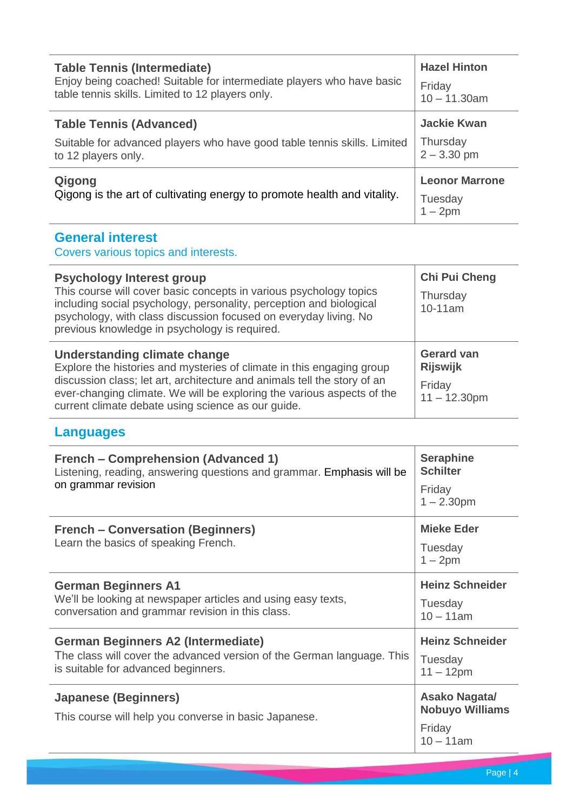| <b>Table Tennis (Intermediate)</b>                                       | <b>Hazel Hinton</b>   |
|--------------------------------------------------------------------------|-----------------------|
| Enjoy being coached! Suitable for intermediate players who have basic    | Friday                |
| table tennis skills. Limited to 12 players only.                         | $10 - 11.30$ am       |
| <b>Table Tennis (Advanced)</b>                                           | <b>Jackie Kwan</b>    |
| Suitable for advanced players who have good table tennis skills. Limited | Thursday              |
| to 12 players only.                                                      | $2 - 3.30$ pm         |
| Qigong                                                                   | <b>Leonor Marrone</b> |
| Qigong is the art of cultivating energy to promote health and vitality.  | Tuesday<br>1 – 2pm    |

# **General interest**

Covers various topics and interests.

| <b>Psychology Interest group</b><br>This course will cover basic concepts in various psychology topics<br>including social psychology, personality, perception and biological<br>psychology, with class discussion focused on everyday living. No<br>previous knowledge in psychology is required.                | Chi Pui Cheng<br>Thursday<br>10-11am                              |
|-------------------------------------------------------------------------------------------------------------------------------------------------------------------------------------------------------------------------------------------------------------------------------------------------------------------|-------------------------------------------------------------------|
| Understanding climate change<br>Explore the histories and mysteries of climate in this engaging group<br>discussion class; let art, architecture and animals tell the story of an<br>ever-changing climate. We will be exploring the various aspects of the<br>current climate debate using science as our quide. | <b>Gerard van</b><br><b>Rijswijk</b><br>Friday<br>$11 - 12.30$ pm |

# **Languages**

| <b>French – Comprehension (Advanced 1)</b><br>Listening, reading, answering questions and grammar. Emphasis will be<br>on grammar revision                 | <b>Seraphine</b><br><b>Schilter</b><br>Friday<br>$1 - 2.30$ pm    |
|------------------------------------------------------------------------------------------------------------------------------------------------------------|-------------------------------------------------------------------|
| <b>French – Conversation (Beginners)</b><br>Learn the basics of speaking French.                                                                           | <b>Mieke Eder</b><br>Tuesday<br>$1 - 2pm$                         |
| <b>German Beginners A1</b><br>We'll be looking at newspaper articles and using easy texts,<br>conversation and grammar revision in this class.             | <b>Heinz Schneider</b><br>Tuesday<br>$10 - 11$ am                 |
| <b>German Beginners A2 (Intermediate)</b><br>The class will cover the advanced version of the German language. This<br>is suitable for advanced beginners. | <b>Heinz Schneider</b><br>Tuesday<br>$11 - 12$ pm                 |
| <b>Japanese (Beginners)</b><br>This course will help you converse in basic Japanese.                                                                       | Asako Nagata/<br><b>Nobuyo Williams</b><br>Friday<br>$10 - 11$ am |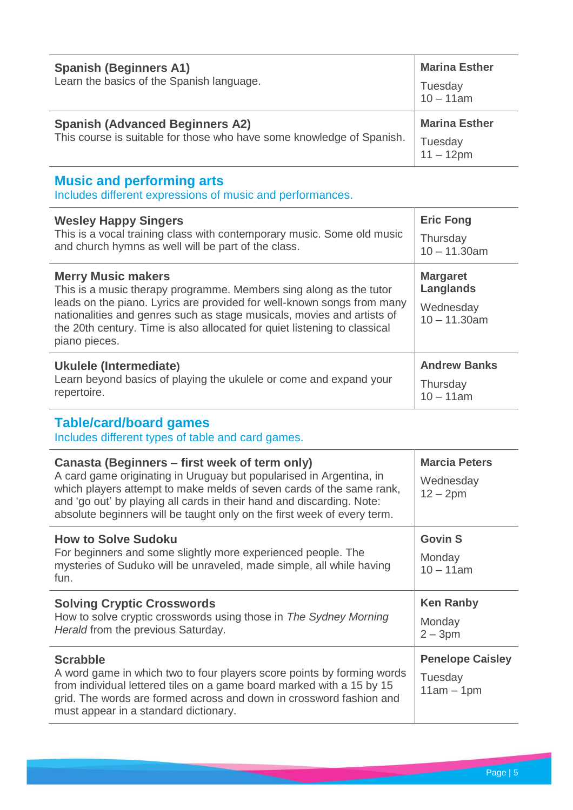| <b>Spanish (Beginners A1)</b>                                         | <b>Marina Esther</b> |
|-----------------------------------------------------------------------|----------------------|
| Learn the basics of the Spanish language.                             | Tuesday<br>10 – 11am |
| <b>Spanish (Advanced Beginners A2)</b>                                | <b>Marina Esther</b> |
| This course is suitable for those who have some knowledge of Spanish. | Tuesday<br>11 – 12pm |
| Musata an duantamatan anno                                            |                      |

**Music and performing arts**

Includes different expressions of music and performances.

| <b>Wesley Happy Singers</b>                                                                                                                                                                                                                                                                                                                       | <b>Eric Fong</b>                                             |
|---------------------------------------------------------------------------------------------------------------------------------------------------------------------------------------------------------------------------------------------------------------------------------------------------------------------------------------------------|--------------------------------------------------------------|
| This is a vocal training class with contemporary music. Some old music                                                                                                                                                                                                                                                                            | Thursday                                                     |
| and church hymns as well will be part of the class.                                                                                                                                                                                                                                                                                               | $10 - 11.30$ am                                              |
| <b>Merry Music makers</b><br>This is a music therapy programme. Members sing along as the tutor<br>leads on the piano. Lyrics are provided for well-known songs from many<br>nationalities and genres such as stage musicals, movies and artists of<br>the 20th century. Time is also allocated for quiet listening to classical<br>piano pieces. | <b>Margaret</b><br>Langlands<br>Wednesday<br>$10 - 11,30$ am |
| Ukulele (Intermediate)                                                                                                                                                                                                                                                                                                                            | <b>Andrew Banks</b>                                          |
| Learn beyond basics of playing the ukulele or come and expand your                                                                                                                                                                                                                                                                                | Thursday                                                     |
| repertoire.                                                                                                                                                                                                                                                                                                                                       | $10 - 11$ am                                                 |

## **Table/card/board games**

Includes different types of table and card games.

| Canasta (Beginners – first week of term only)<br>A card game originating in Uruguay but popularised in Argentina, in<br>which players attempt to make melds of seven cards of the same rank,<br>and 'go out' by playing all cards in their hand and discarding. Note:<br>absolute beginners will be taught only on the first week of every term. | <b>Marcia Peters</b><br>Wednesday<br>$12 - 2pm$    |
|--------------------------------------------------------------------------------------------------------------------------------------------------------------------------------------------------------------------------------------------------------------------------------------------------------------------------------------------------|----------------------------------------------------|
| <b>How to Solve Sudoku</b><br>For beginners and some slightly more experienced people. The<br>mysteries of Suduko will be unraveled, made simple, all while having<br>fun.                                                                                                                                                                       | <b>Govin S</b><br>Monday<br>$10 - 11$ am           |
| <b>Solving Cryptic Crosswords</b><br>How to solve cryptic crosswords using those in The Sydney Morning<br>Herald from the previous Saturday.                                                                                                                                                                                                     | <b>Ken Ranby</b><br>Monday<br>$2 - 3pm$            |
| <b>Scrabble</b><br>A word game in which two to four players score points by forming words<br>from individual lettered tiles on a game board marked with a 15 by 15<br>grid. The words are formed across and down in crossword fashion and<br>must appear in a standard dictionary.                                                               | <b>Penelope Caisley</b><br>Tuesday<br>$11am - 1pm$ |